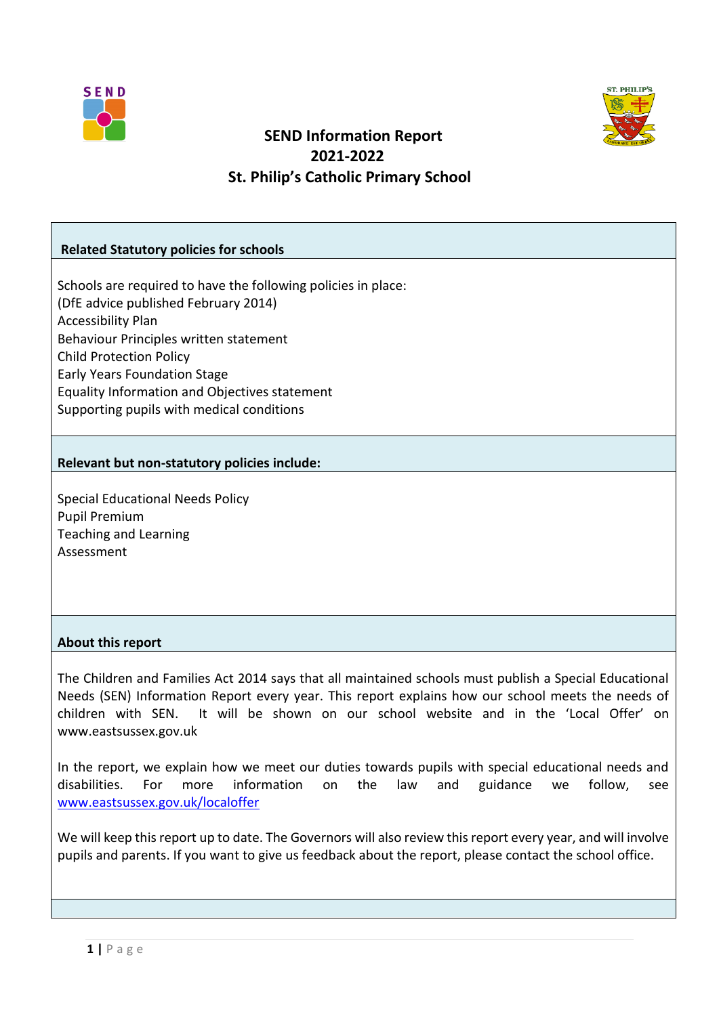



# **SEND Information Report 2021-2022 St. Philip's Catholic Primary School**

### **Related Statutory policies for schools**

Schools are required to have the following policies in place: (DfE advice published February 2014) Accessibility Plan Behaviour Principles written statement Child Protection Policy Early Years Foundation Stage Equality Information and Objectives statement Supporting pupils with medical conditions

#### **Relevant but non-statutory policies include:**

Special Educational Needs Policy Pupil Premium Teaching and Learning Assessment

## **About this report**

The Children and Families Act 2014 says that all maintained schools must publish a Special Educational Needs (SEN) Information Report every year. This report explains how our school meets the needs of children with SEN. It will be shown on our school website and in the 'Local Offer' on www.eastsussex.gov.uk

In the report, we explain how we meet our duties towards pupils with special educational needs and disabilities. For more information on the law and guidance we follow, see [www.eastsussex.gov.uk/localoffer](http://www.eastsussex.gov.uk/localoffer)

We will keep this report up to date. The Governors will also review this report every year, and will involve pupils and parents. If you want to give us feedback about the report, please contact the school office.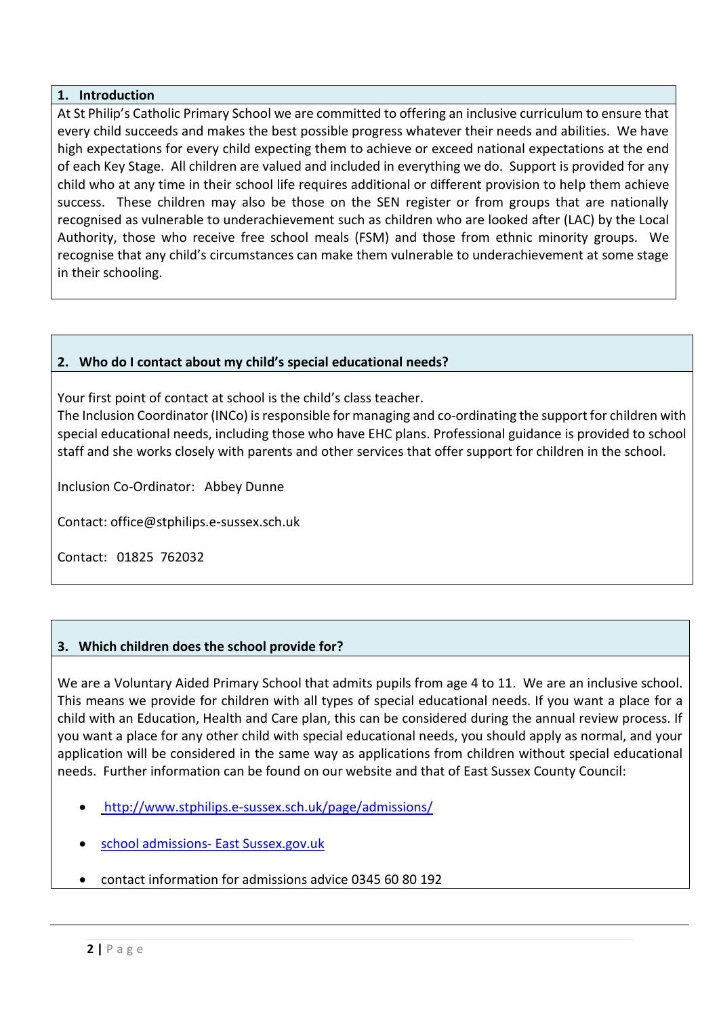### **1. Introduction**

At St Philip's Catholic Primary School we are committed to offering an inclusive curriculum to ensure that every child succeeds and makes the best possible progress whatever their needs and abilities. We have high expectations for every child expecting them to achieve or exceed national expectations at the end of each Key Stage. All children are valued and included in everything we do. Support is provided for any child who at any time in their school life requires additional or different provision to help them achieve success. These children may also be those on the SEN register or from groups that are nationally recognised as vulnerable to underachievement such as children who are looked after (LAC) by the Local Authority, those who receive free school meals (FSM) and those from ethnic minority groups. We recognise that any child's circumstances can make them vulnerable to underachievement at some stage in their schooling.

## **2. Who do I contact about my child's special educational needs?**

Your first point of contact at school is the child's class teacher.

The Inclusion Coordinator (INCo) is responsible for managing and co-ordinating the support for children with special educational needs, including those who have EHC plans. Professional guidance is provided to school staff and she works closely with parents and other services that offer support for children in the school.

Inclusion Co-Ordinator: Abbey Dunne

Contact: office@stphilips.e-sussex.sch.uk

Contact: 01825 762032

## **3. Which children does the school provide for?**

We are a Voluntary Aided Primary School that admits pupils from age 4 to 11. We are an inclusive school. This means we provide for children with all types of special educational needs. If you want a place for a child with an Education, Health and Care plan, this can be considered during the annual review process. If you want a place for any other child with special educational needs, you should apply as normal, and your application will be considered in the same way as applications from children without special educational needs. Further information can be found on our website and that of East Sussex County Council:

- <http://www.stphilips.e-sussex.sch.uk/page/admissions/>
- [school admissions-](http://www.eastsussex.gov.uk/educationandlearning/schools/findingaschool/default.htm) East Sussex.gov.uk
- contact information for admissions advice 0345 60 80 192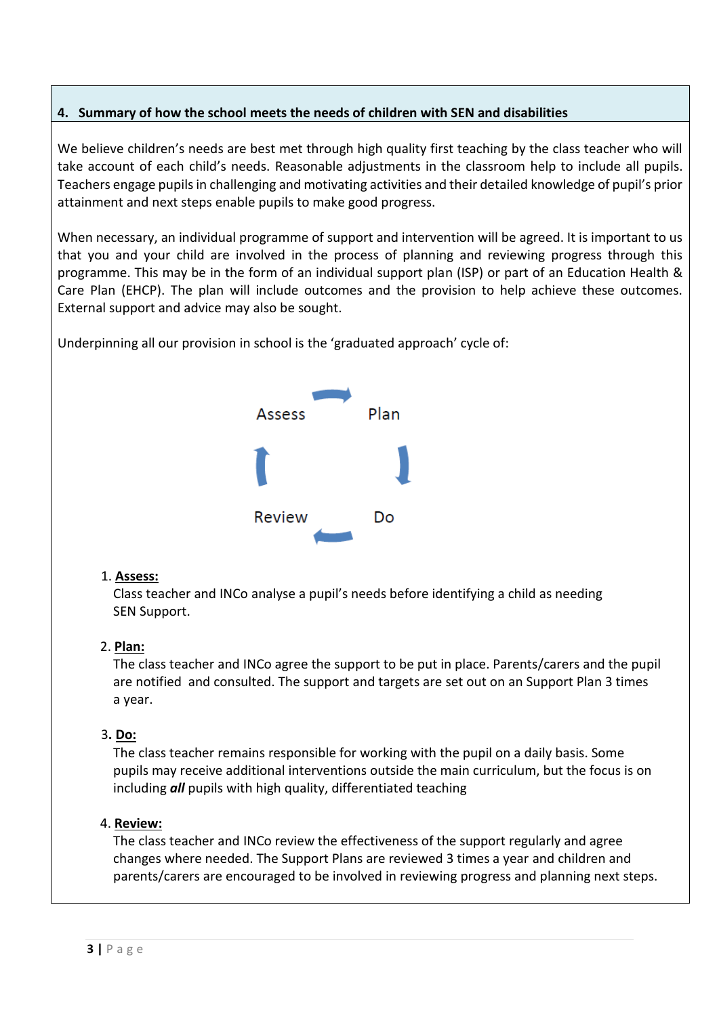## **4. Summary of how the school meets the needs of children with SEN and disabilities**

We believe children's needs are best met through high quality first teaching by the class teacher who will take account of each child's needs. Reasonable adjustments in the classroom help to include all pupils. Teachers engage pupils in challenging and motivating activities and their detailed knowledge of pupil's prior attainment and next steps enable pupils to make good progress.

When necessary, an individual programme of support and intervention will be agreed. It is important to us that you and your child are involved in the process of planning and reviewing progress through this programme. This may be in the form of an individual support plan (ISP) or part of an Education Health & Care Plan (EHCP). The plan will include outcomes and the provision to help achieve these outcomes. External support and advice may also be sought.

Underpinning all our provision in school is the 'graduated approach' cycle of:



## 1. **Assess:**

 Class teacher and INCo analyse a pupil's needs before identifying a child as needing SEN Support.

## 2. **Plan:**

 The class teacher and INCo agree the support to be put in place. Parents/carers and the pupil are notified and consulted. The support and targets are set out on an Support Plan 3 times a year.

#### 3**. Do:**

 The class teacher remains responsible for working with the pupil on a daily basis. Some pupils may receive additional interventions outside the main curriculum, but the focus is on including *all* pupils with high quality, differentiated teaching

## 4. **Review:**

 The class teacher and INCo review the effectiveness of the support regularly and agree changes where needed. The Support Plans are reviewed 3 times a year and children and parents/carers are encouraged to be involved in reviewing progress and planning next steps.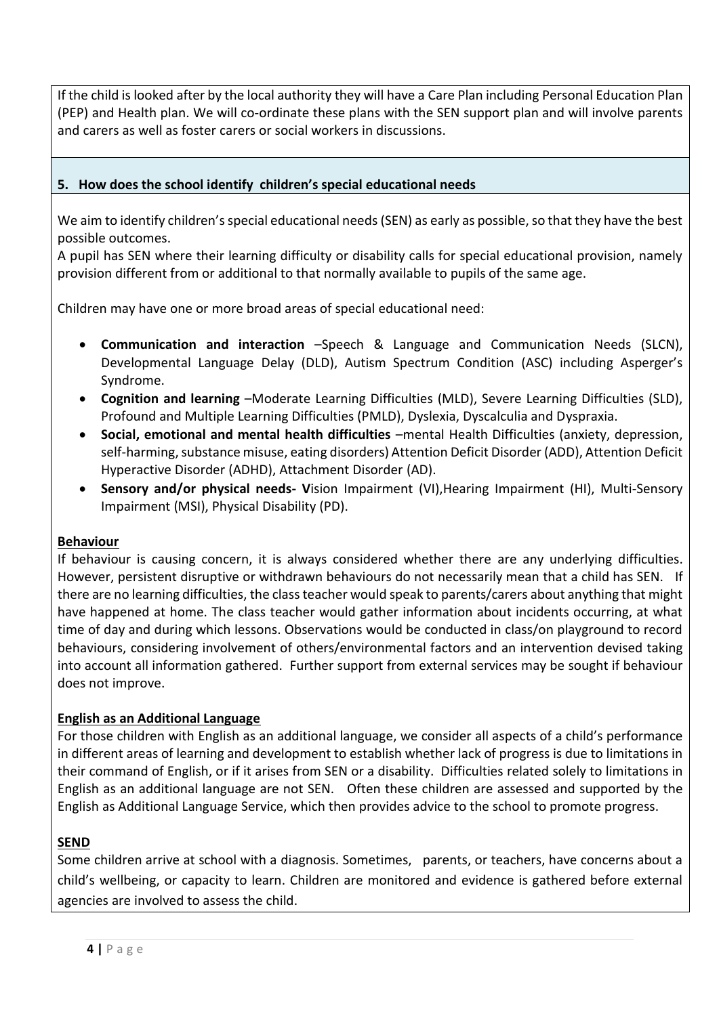If the child is looked after by the local authority they will have a Care Plan including Personal Education Plan (PEP) and Health plan. We will co-ordinate these plans with the SEN support plan and will involve parents and carers as well as foster carers or social workers in discussions.

## **5. How does the school identify children's special educational needs**

We aim to identify children's special educational needs (SEN) as early as possible, so that they have the best possible outcomes.

A pupil has SEN where their learning difficulty or disability calls for special educational provision, namely provision different from or additional to that normally available to pupils of the same age.

Children may have one or more broad areas of special educational need:

- **Communication and interaction** –Speech & Language and Communication Needs (SLCN), Developmental Language Delay (DLD), Autism Spectrum Condition (ASC) including Asperger's Syndrome.
- **Cognition and learning** –Moderate Learning Difficulties (MLD), Severe Learning Difficulties (SLD), Profound and Multiple Learning Difficulties (PMLD), Dyslexia, Dyscalculia and Dyspraxia.
- **Social, emotional and mental health difficulties** –mental Health Difficulties (anxiety, depression, self-harming, substance misuse, eating disorders) Attention Deficit Disorder (ADD), Attention Deficit Hyperactive Disorder (ADHD), Attachment Disorder (AD).
- **Sensory and/or physical needs- V**ision Impairment (VI),Hearing Impairment (HI), Multi-Sensory Impairment (MSI), Physical Disability (PD).

## **Behaviour**

If behaviour is causing concern, it is always considered whether there are any underlying difficulties. However, persistent disruptive or withdrawn behaviours do not necessarily mean that a child has SEN. If there are no learning difficulties, the class teacher would speak to parents/carers about anything that might have happened at home. The class teacher would gather information about incidents occurring, at what time of day and during which lessons. Observations would be conducted in class/on playground to record behaviours, considering involvement of others/environmental factors and an intervention devised taking into account all information gathered. Further support from external services may be sought if behaviour does not improve.

## **English as an Additional Language**

For those children with English as an additional language, we consider all aspects of a child's performance in different areas of learning and development to establish whether lack of progress is due to limitations in their command of English, or if it arises from SEN or a disability. Difficulties related solely to limitations in English as an additional language are not SEN. Often these children are assessed and supported by the English as Additional Language Service, which then provides advice to the school to promote progress.

## **SEND**

Some children arrive at school with a diagnosis. Sometimes, parents, or teachers, have concerns about a child's wellbeing, or capacity to learn. Children are monitored and evidence is gathered before external agencies are involved to assess the child.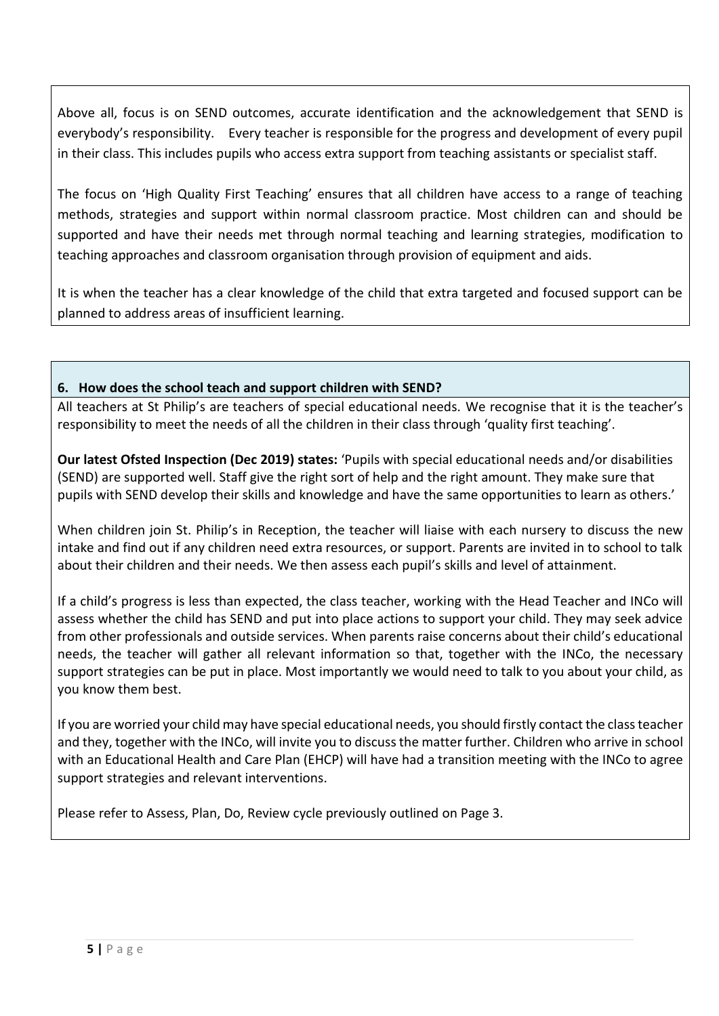Above all, focus is on SEND outcomes, accurate identification and the acknowledgement that SEND is everybody's responsibility. Every teacher is responsible for the progress and development of every pupil in their class. This includes pupils who access extra support from teaching assistants or specialist staff.

The focus on 'High Quality First Teaching' ensures that all children have access to a range of teaching methods, strategies and support within normal classroom practice. Most children can and should be supported and have their needs met through normal teaching and learning strategies, modification to teaching approaches and classroom organisation through provision of equipment and aids.

It is when the teacher has a clear knowledge of the child that extra targeted and focused support can be planned to address areas of insufficient learning.

## **6. How does the school teach and support children with SEND?**

All teachers at St Philip's are teachers of special educational needs. We recognise that it is the teacher's responsibility to meet the needs of all the children in their class through 'quality first teaching'.

**Our latest Ofsted Inspection (Dec 2019) states:** 'Pupils with special educational needs and/or disabilities (SEND) are supported well. Staff give the right sort of help and the right amount. They make sure that pupils with SEND develop their skills and knowledge and have the same opportunities to learn as others.'

When children join St. Philip's in Reception, the teacher will liaise with each nursery to discuss the new intake and find out if any children need extra resources, or support. Parents are invited in to school to talk about their children and their needs. We then assess each pupil's skills and level of attainment.

If a child's progress is less than expected, the class teacher, working with the Head Teacher and INCo will assess whether the child has SEND and put into place actions to support your child. They may seek advice from other professionals and outside services. When parents raise concerns about their child's educational needs, the teacher will gather all relevant information so that, together with the INCo, the necessary support strategies can be put in place. Most importantly we would need to talk to you about your child, as you know them best.

If you are worried your child may have special educational needs, you should firstly contact the class teacher and they, together with the INCo, will invite you to discuss the matter further. Children who arrive in school with an Educational Health and Care Plan (EHCP) will have had a transition meeting with the INCo to agree support strategies and relevant interventions.

Please refer to Assess, Plan, Do, Review cycle previously outlined on Page 3.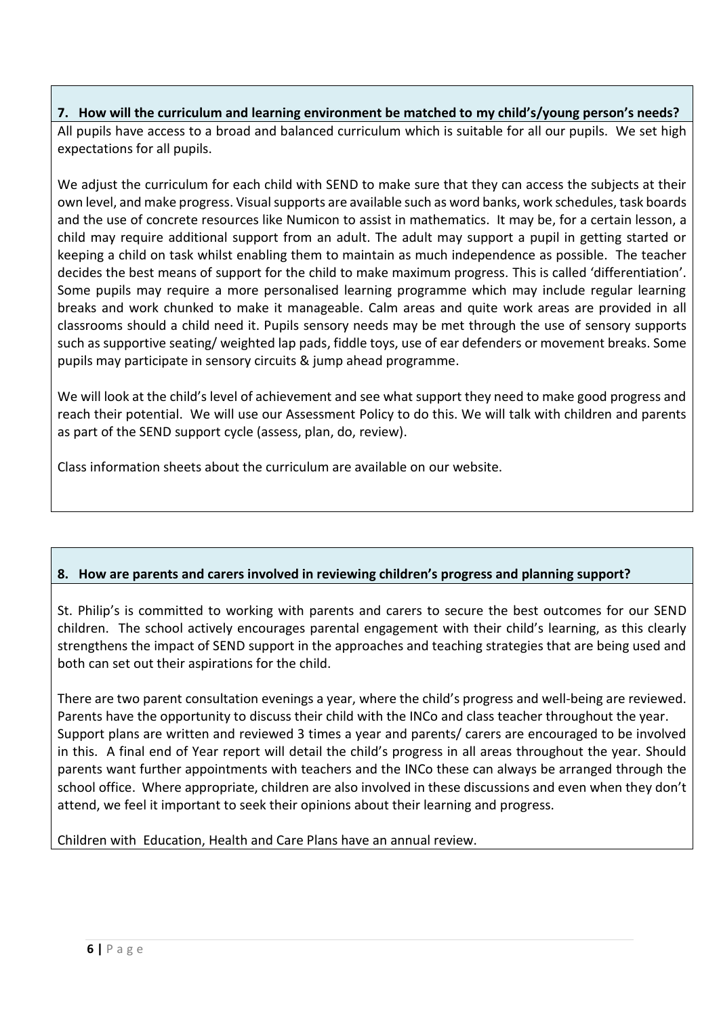# **7. How will the curriculum and learning environment be matched to my child's/young person's needs?** All pupils have access to a broad and balanced curriculum which is suitable for all our pupils. We set high

We adjust the curriculum for each child with SEND to make sure that they can access the subjects at their own level, and make progress. Visual supports are available such as word banks, work schedules, task boards and the use of concrete resources like Numicon to assist in mathematics. It may be, for a certain lesson, a child may require additional support from an adult. The adult may support a pupil in getting started or keeping a child on task whilst enabling them to maintain as much independence as possible. The teacher decides the best means of support for the child to make maximum progress. This is called 'differentiation'. Some pupils may require a more personalised learning programme which may include regular learning breaks and work chunked to make it manageable. Calm areas and quite work areas are provided in all classrooms should a child need it. Pupils sensory needs may be met through the use of sensory supports such as supportive seating/ weighted lap pads, fiddle toys, use of ear defenders or movement breaks. Some pupils may participate in sensory circuits & jump ahead programme.

We will look at the child's level of achievement and see what support they need to make good progress and reach their potential. We will use our Assessment Policy to do this. We will talk with children and parents as part of the SEND support cycle (assess, plan, do, review).

Class information sheets about the curriculum are available on our website.

# **8. How are parents and carers involved in reviewing children's progress and planning support?**

St. Philip's is committed to working with parents and carers to secure the best outcomes for our SEND children. The school actively encourages parental engagement with their child's learning, as this clearly strengthens the impact of SEND support in the approaches and teaching strategies that are being used and both can set out their aspirations for the child.

There are two parent consultation evenings a year, where the child's progress and well-being are reviewed. Parents have the opportunity to discuss their child with the INCo and class teacher throughout the year. Support plans are written and reviewed 3 times a year and parents/ carers are encouraged to be involved in this. A final end of Year report will detail the child's progress in all areas throughout the year. Should parents want further appointments with teachers and the INCo these can always be arranged through the school office. Where appropriate, children are also involved in these discussions and even when they don't attend, we feel it important to seek their opinions about their learning and progress.

Children with Education, Health and Care Plans have an annual review.

expectations for all pupils.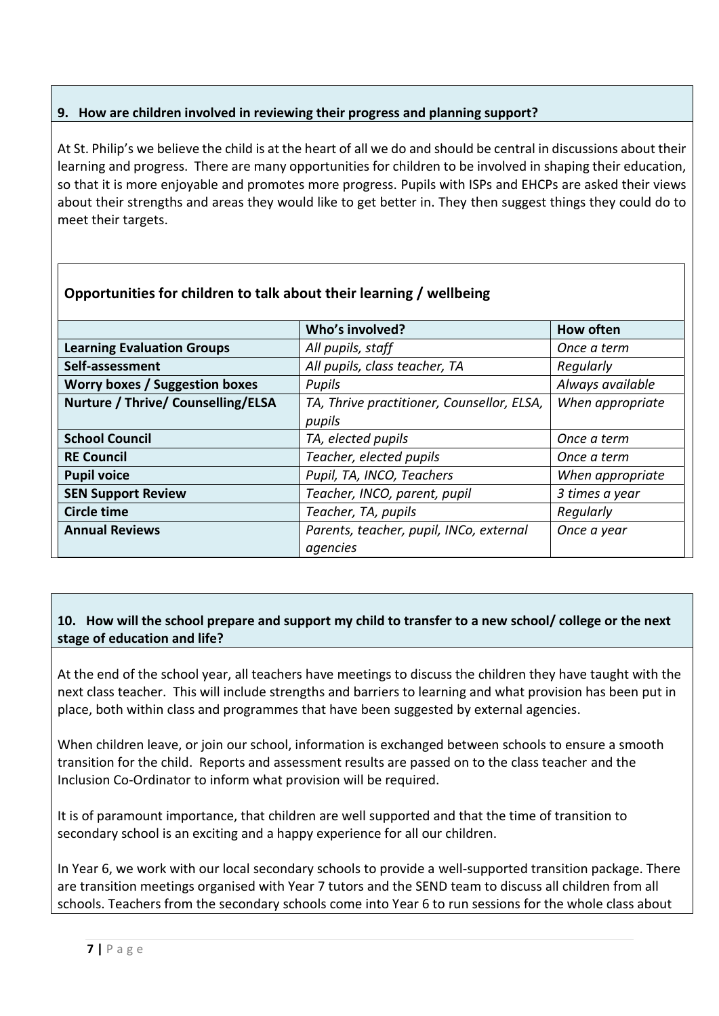## **9. How are children involved in reviewing their progress and planning support?**

At St. Philip's we believe the child is at the heart of all we do and should be central in discussions about their learning and progress. There are many opportunities for children to be involved in shaping their education, so that it is more enjoyable and promotes more progress. Pupils with ISPs and EHCPs are asked their views about their strengths and areas they would like to get better in. They then suggest things they could do to meet their targets.

|                                       | Who's involved?                                      | How often        |
|---------------------------------------|------------------------------------------------------|------------------|
| <b>Learning Evaluation Groups</b>     | All pupils, staff                                    | Once a term      |
| Self-assessment                       | All pupils, class teacher, TA                        | Regularly        |
| <b>Worry boxes / Suggestion boxes</b> | Pupils                                               | Always available |
| Nurture / Thrive/ Counselling/ELSA    | TA, Thrive practitioner, Counsellor, ELSA,<br>pupils | When appropriate |
| <b>School Council</b>                 | TA, elected pupils                                   | Once a term      |
| <b>RE Council</b>                     | Teacher, elected pupils                              | Once a term      |
| <b>Pupil voice</b>                    | Pupil, TA, INCO, Teachers                            | When appropriate |
| <b>SEN Support Review</b>             | Teacher, INCO, parent, pupil                         | 3 times a year   |
| <b>Circle time</b>                    | Teacher, TA, pupils                                  | Regularly        |
| <b>Annual Reviews</b>                 | Parents, teacher, pupil, INCo, external<br>agencies  | Once a year      |

# **Opportunities for children to talk about their learning / wellbeing**

## **10. How will the school prepare and support my child to transfer to a new school/ college or the next stage of education and life?**

At the end of the school year, all teachers have meetings to discuss the children they have taught with the next class teacher. This will include strengths and barriers to learning and what provision has been put in place, both within class and programmes that have been suggested by external agencies.

When children leave, or join our school, information is exchanged between schools to ensure a smooth transition for the child. Reports and assessment results are passed on to the class teacher and the Inclusion Co-Ordinator to inform what provision will be required.

It is of paramount importance, that children are well supported and that the time of transition to secondary school is an exciting and a happy experience for all our children.

In Year 6, we work with our local secondary schools to provide a well-supported transition package. There are transition meetings organised with Year 7 tutors and the SEND team to discuss all children from all schools. Teachers from the secondary schools come into Year 6 to run sessions for the whole class about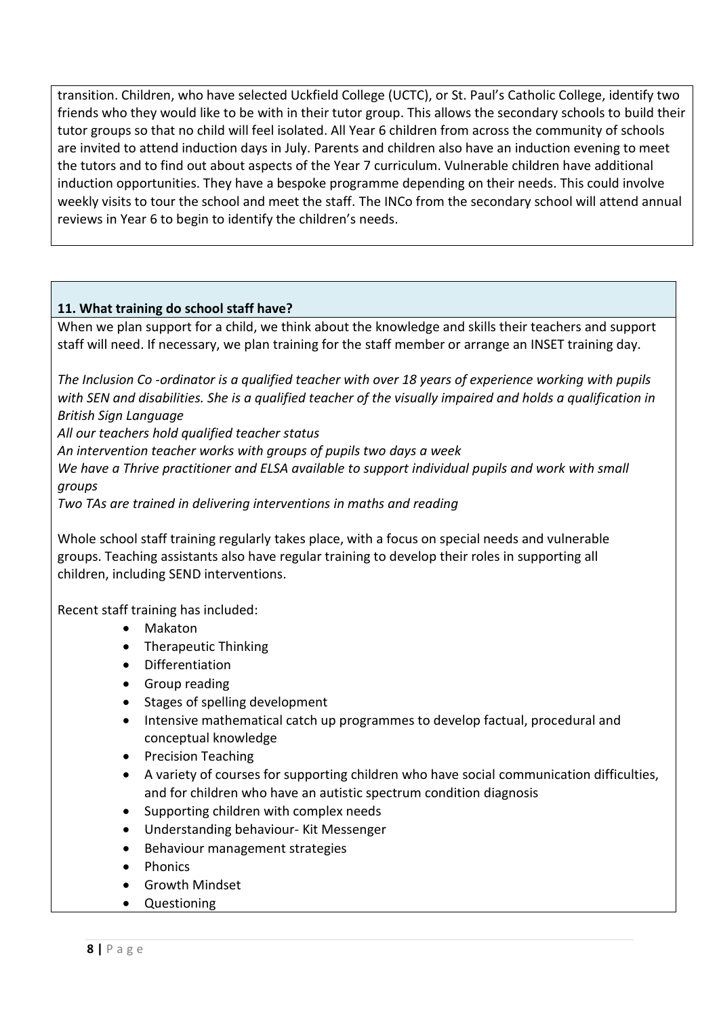transition. Children, who have selected Uckfield College (UCTC), or St. Paul's Catholic College, identify two friends who they would like to be with in their tutor group. This allows the secondary schools to build their tutor groups so that no child will feel isolated. All Year 6 children from across the community of schools are invited to attend induction days in July. Parents and children also have an induction evening to meet the tutors and to find out about aspects of the Year 7 curriculum. Vulnerable children have additional induction opportunities. They have a bespoke programme depending on their needs. This could involve weekly visits to tour the school and meet the staff. The INCo from the secondary school will attend annual reviews in Year 6 to begin to identify the children's needs.

## **11. What training do school staff have?**

When we plan support for a child, we think about the knowledge and skills their teachers and support staff will need. If necessary, we plan training for the staff member or arrange an INSET training day.

*The Inclusion Co -ordinator is a qualified teacher with over 18 years of experience working with pupils with SEN and disabilities. She is a qualified teacher of the visually impaired and holds a qualification in British Sign Language*

*All our teachers hold qualified teacher status*

*An intervention teacher works with groups of pupils two days a week*

*We have a Thrive practitioner and ELSA available to support individual pupils and work with small groups*

*Two TAs are trained in delivering interventions in maths and reading*

Whole school staff training regularly takes place, with a focus on special needs and vulnerable groups. Teaching assistants also have regular training to develop their roles in supporting all children, including SEND interventions.

Recent staff training has included:

- Makaton
- Therapeutic Thinking
- Differentiation
- Group reading
- Stages of spelling development
- Intensive mathematical catch up programmes to develop factual, procedural and conceptual knowledge
- Precision Teaching
- A variety of courses for supporting children who have social communication difficulties, and for children who have an autistic spectrum condition diagnosis
- Supporting children with complex needs
- Understanding behaviour- Kit Messenger
- Behaviour management strategies
- Phonics
- Growth Mindset
- Questioning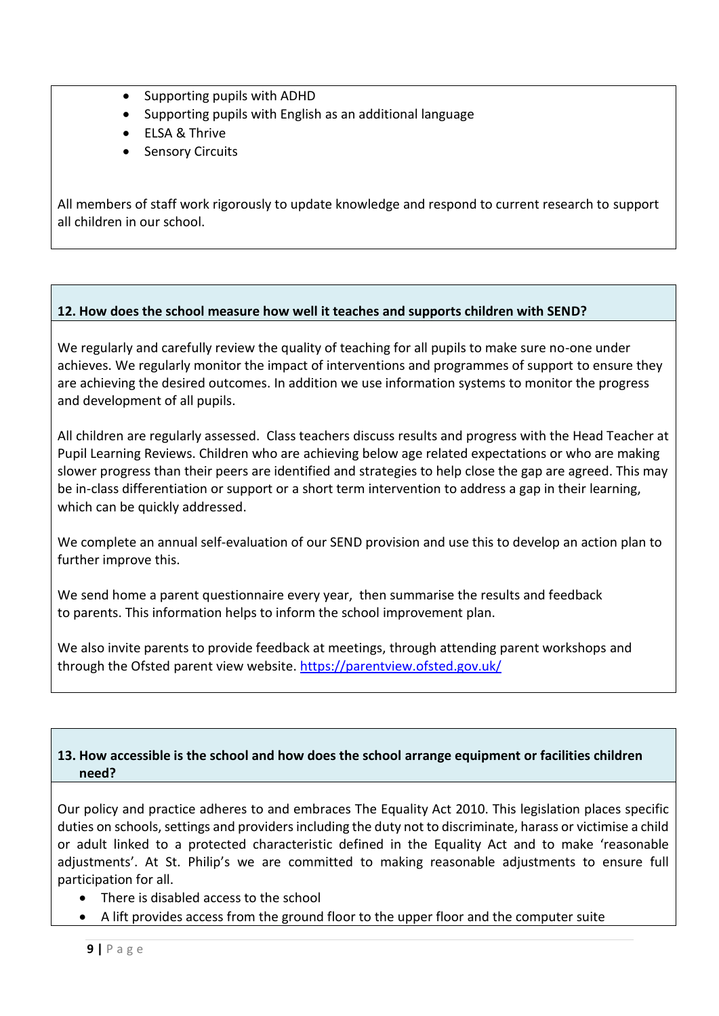- Supporting pupils with ADHD
- Supporting pupils with English as an additional language
- FLSA & Thrive
- Sensory Circuits

All members of staff work rigorously to update knowledge and respond to current research to support all children in our school.

## **12. How does the school measure how well it teaches and supports children with SEND?**

We regularly and carefully review the quality of teaching for all pupils to make sure no-one under achieves. We regularly monitor the impact of interventions and programmes of support to ensure they are achieving the desired outcomes. In addition we use information systems to monitor the progress and development of all pupils.

All children are regularly assessed. Class teachers discuss results and progress with the Head Teacher at Pupil Learning Reviews. Children who are achieving below age related expectations or who are making slower progress than their peers are identified and strategies to help close the gap are agreed. This may be in-class differentiation or support or a short term intervention to address a gap in their learning, which can be quickly addressed.

We complete an annual self-evaluation of our SEND provision and use this to develop an action plan to further improve this.

We send home a parent questionnaire every year, then summarise the results and feedback to parents. This information helps to inform the school improvement plan.

We also invite parents to provide feedback at meetings, through attending parent workshops and through the Ofsted parent view website.<https://parentview.ofsted.gov.uk/>

## **13. How accessible is the school and how does the school arrange equipment or facilities children need?**

Our policy and practice adheres to and embraces The Equality Act 2010. This legislation places specific duties on schools, settings and providers including the duty not to discriminate, harass or victimise a child or adult linked to a protected characteristic defined in the Equality Act and to make 'reasonable adjustments'. At St. Philip's we are committed to making reasonable adjustments to ensure full participation for all.

- There is disabled access to the school
- A lift provides access from the ground floor to the upper floor and the computer suite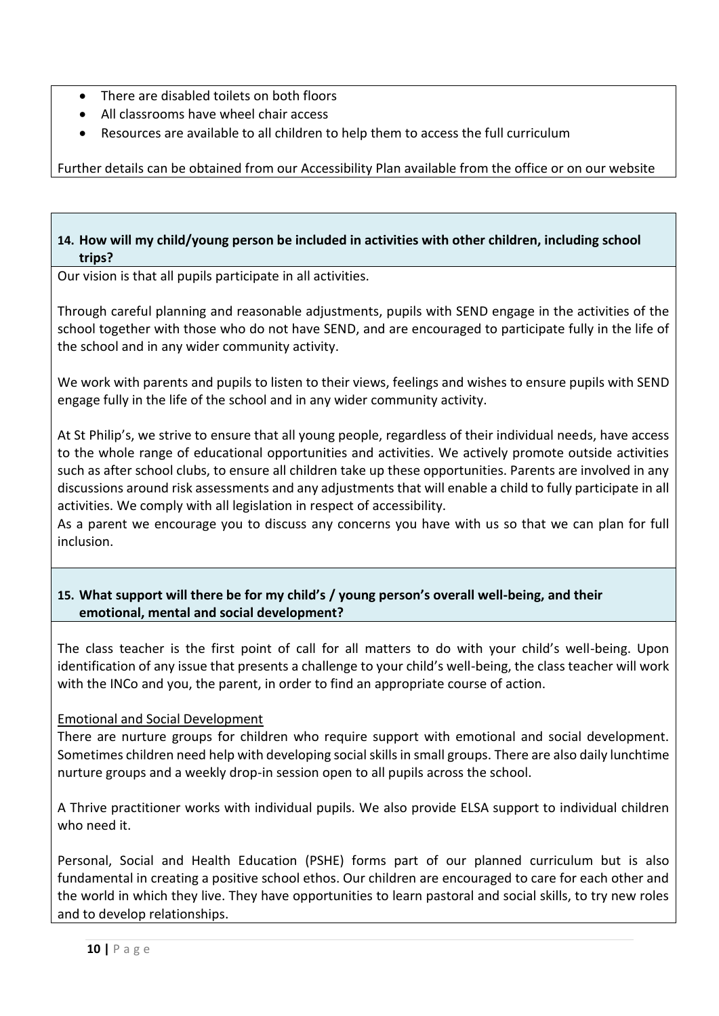- There are disabled toilets on both floors
- All classrooms have wheel chair access
- Resources are available to all children to help them to access the full curriculum

Further details can be obtained from our Accessibility Plan available from the office or on our website

## **14. How will my child/young person be included in activities with other children, including school trips?**

Our vision is that all pupils participate in all activities.

Through careful planning and reasonable adjustments, pupils with SEND engage in the activities of the school together with those who do not have SEND, and are encouraged to participate fully in the life of the school and in any wider community activity.

We work with parents and pupils to listen to their views, feelings and wishes to ensure pupils with SEND engage fully in the life of the school and in any wider community activity.

At St Philip's, we strive to ensure that all young people, regardless of their individual needs, have access to the whole range of educational opportunities and activities. We actively promote outside activities such as after school clubs, to ensure all children take up these opportunities. Parents are involved in any discussions around risk assessments and any adjustments that will enable a child to fully participate in all activities. We comply with all legislation in respect of accessibility.

As a parent we encourage you to discuss any concerns you have with us so that we can plan for full inclusion.

## **15. What support will there be for my child's / young person's overall well-being, and their emotional, mental and social development?**

The class teacher is the first point of call for all matters to do with your child's well-being. Upon identification of any issue that presents a challenge to your child's well-being, the class teacher will work with the INCo and you, the parent, in order to find an appropriate course of action.

# Emotional and Social Development

There are nurture groups for children who require support with emotional and social development. Sometimes children need help with developing social skills in small groups. There are also daily lunchtime nurture groups and a weekly drop-in session open to all pupils across the school.

A Thrive practitioner works with individual pupils. We also provide ELSA support to individual children who need it.

Personal, Social and Health Education (PSHE) forms part of our planned curriculum but is also fundamental in creating a positive school ethos. Our children are encouraged to care for each other and the world in which they live. They have opportunities to learn pastoral and social skills, to try new roles and to develop relationships.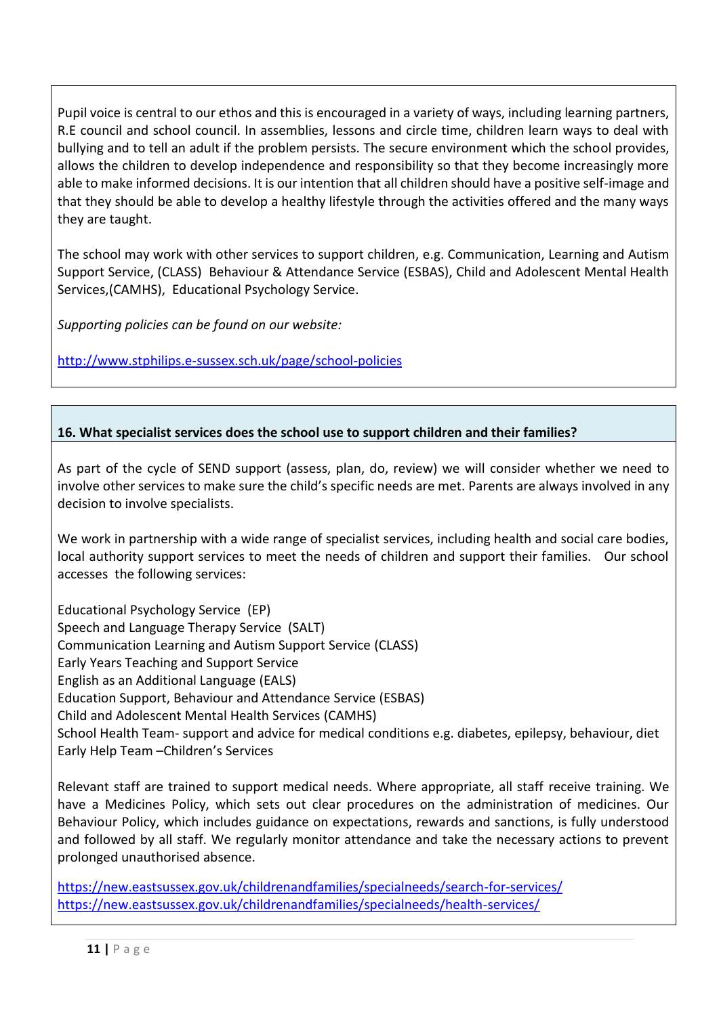Pupil voice is central to our ethos and this is encouraged in a variety of ways, including learning partners, R.E council and school council. In assemblies, lessons and circle time, children learn ways to deal with bullying and to tell an adult if the problem persists. The secure environment which the school provides, allows the children to develop independence and responsibility so that they become increasingly more able to make informed decisions. It is our intention that all children should have a positive self-image and that they should be able to develop a healthy lifestyle through the activities offered and the many ways they are taught.

The school may work with other services to support children, e.g. Communication, [Learning and Autism](http://www.google.co.uk/url?sa=t&rct=j&q=&esrc=s&frm=1&source=web&cd=1&cad=rja&uact=8&ved=0CCEQFjAA&url=http%3A%2F%2Fwww.escis.org.uk%2Fgovernment-and-local-services%2Feducation-support-behaviour-attendance-service%2F&ei=lhOdVY6LGcWwsAHE1If4Dg&usg=AFQjCNFOFoHAoQiiMfCM5E9tzu6R2c-Wvg&bvm=bv.96952980,d.ZGU)  [Support Service, \(CLASS\) Behaviour & Attendance Service \(ESBAS\),](http://www.google.co.uk/url?sa=t&rct=j&q=&esrc=s&frm=1&source=web&cd=1&cad=rja&uact=8&ved=0CCEQFjAA&url=http%3A%2F%2Fwww.escis.org.uk%2Fgovernment-and-local-services%2Feducation-support-behaviour-attendance-service%2F&ei=lhOdVY6LGcWwsAHE1If4Dg&usg=AFQjCNFOFoHAoQiiMfCM5E9tzu6R2c-Wvg&bvm=bv.96952980,d.ZGU) Child and Adolescent Mental Health Services,(CAMHS), Educational Psychology Service.

*Supporting policies can be found on our website:* 

<http://www.stphilips.e-sussex.sch.uk/page/school-policies>

## **16. What specialist services does the school use to support children and their families?**

As part of the cycle of SEND support (assess, plan, do, review) we will consider whether we need to involve other services to make sure the child's specific needs are met. Parents are always involved in any decision to involve specialists.

We work in partnership with a wide range of specialist services, including health and social care bodies, local authority support services to meet the needs of children and support their families. Our school accesses the following services:

Educational Psychology Service (EP) Speech and Language Therapy Service (SALT) Communication Learning and Autism Support Service (CLASS) Early Years Teaching and Support Service English as an Additional Language (EALS) Education Support, Behaviour and Attendance Service (ESBAS) Child and Adolescent Mental Health Services (CAMHS) School Health Team- support and advice for medical conditions e.g. diabetes, epilepsy, behaviour, diet Early Help Team –Children's Services

Relevant staff are trained to support medical needs. Where appropriate, all staff receive training. We have a Medicines Policy, which sets out clear procedures on the administration of medicines. Our Behaviour Policy, which includes guidance on expectations, rewards and sanctions, is fully understood and followed by all staff. We regularly monitor attendance and take the necessary actions to prevent prolonged unauthorised absence.

<https://new.eastsussex.gov.uk/childrenandfamilies/specialneeds/search-for-services/> <https://new.eastsussex.gov.uk/childrenandfamilies/specialneeds/health-services/>